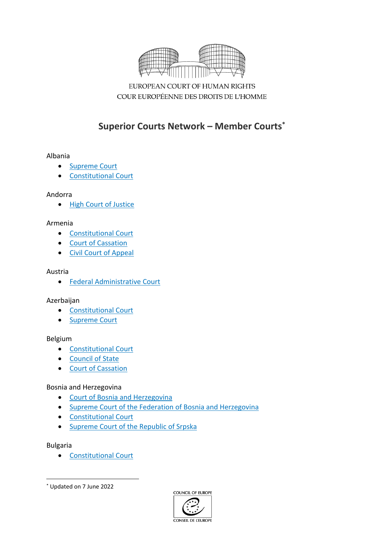

EUROPEAN COURT OF HUMAN RIGHTS COUR EUROPÉENNE DES DROITS DE L'HOMME

# **Superior Courts Network – Member Courts\***

## Albania

- [Supreme](http://www.gjykataelarte.gov.al/web/The_Supreme_Court_4_2.php) Court
- [Constitutional](http://www.gjk.gov.al/web/Constitutional_Court_1_2.php) Court

## Andorra

• High Court of [Justice](http://www.justicia.ad/en/organitzacio_judicial)

## Armenia

- [Constitutional](http://concourt.am/english/) Court
- Court of [Cassation](http://www.court.am/index.php?link=arm/top/cassation/casscourtjudge.htm)
- Civil Court of [Appeal](http://court.am/index.php?link=arm/top/appcourt/civappcourt/civappjudge.htm)

### Austria

Federal [Administrative](https://www.bvwg.gv.at/) Court

# Azerbaijan

- [Constitutional](http://www.constcourt.gov.az/about) Court
- [Supreme](http://www.supremecourt.gov.az/en) Court

### Belgium

- [Constitutional](http://www.const-court.be/en/common/home.html) Court
- [Council](http://www.conseildetat.be/?page=index&lang=en) of State
- Court of [Cassation](https://justice.belgium.be/fr/ordre_judiciaire/cours_et_tribunaux/cour_de_cassation)

# Bosnia and Herzegovina

- Court of Bosnia and [Herzegovina](http://www.sudbih.gov.ba/)
- Supreme Court of the Federation of Bosnia and [Herzegovina](https://vsud-fbih.pravosudje.ba/)
- [Constitutional](http://www.ccbh.ba/?lang=en) Court
- [Supreme](https://vsud-rs.pravosudje.ba/) Court of the Republic of Srpska

### Bulgaria

[Constitutional](http://constcourt.bg/en/Home/Home) Court



<sup>\*</sup> Updated on 7 June 2022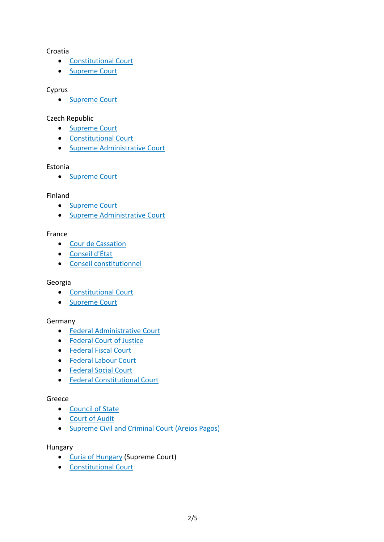## Croatia

- **•** [Constitutional](http://www.usud.hr/en) Court
- [Supreme](http://www.vsrh.hr/EasyWeb.asp?pcpid=39) Court

## Cyprus

• [Supreme](http://www.supremecourt.gov.cy/judicial/sc.nsf/DMLindex_en/DMLindex_en?OpenDocument) Court

# Czech Republic

- [Supreme](http://www.nsoud.cz/JudikaturaNS_new/ns_web.nsf?openDatabase&lng=EN) Court
- [Constitutional](https://www.usoud.cz/en/) Court
- **•** Supreme [Administrative](http://www.nssoud.cz/-p-General-Information-p-/art/557?menu=173) Court

## Estonia

• [Supreme](https://www.riigikohus.ee/en/supreme-court-estonia) Court

## Finland

- [Supreme](https://korkeinoikeus.fi/en/) Court
- **•** Supreme [Administrative](https://www.kho.fi/en/) Court

## France

- Cour de [Cassation](https://www.courdecassation.fr/about_the_court_9256.html)
- [Conseil](http://english.conseil-etat.fr/) d'État
- Conseil [constitutionnel](http://www.conseil-constitutionnel.fr/)

### Georgia

- [Constitutional](http://www.constcourt.ge/en/) Court
- [Supreme](http://www.supremecourt.ge/eng/) Court

# Germany

- **•** Federal [Administrative](http://www.bverwg.de/informationen/english/federal_administrative_court.php) Court
- [Federal](http://www.bundesgerichtshof.de/EN/Home/home_node.html;jsessionid=1D52882ADC94D5E6C3ABBF694410CD32.2_cid319) Court of Justice
- [Federal](https://www.bundesfinanzhof.de/) Fiscal Court
- [Federal](http://www.bundesarbeitsgericht.de/englisch/general.html) Labour Court
- [Federal](http://www.bsg.bund.de/DE/Home/home_node.html) Social Court
- **•** Federal [Constitutional](https://www.bundesverfassungsgericht.de/EN/Homepage/home_node.html) Court

### Greece

- [Council](http://www.adjustice.gr/webcenter/portal/SteEn?_afrLoop=10111898467293844#!%40%40%3F_afrLoop%3D10111898467293844%26_adf.ctrl-state%3Dohzo3yjiq_25) of State
- [Court](https://www.elsyn.gr/en) of Audit
- [Supreme](http://www.areiospagos.gr/en/INDEX.htm) Civil and Criminal Court (Areios Pagos)

## Hungary

- Curia of [Hungary](http://www.lb.hu/en/english/welcome-website-curia) (Supreme Court)
- [Constitutional](http://www.mkab.hu/az-alkotmanybirosag-szervezete) Court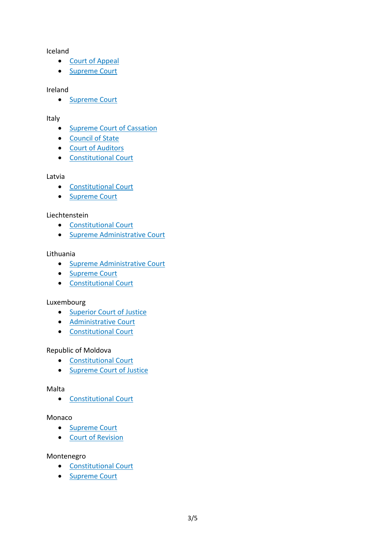Iceland

- Court of [Appeal](https://www.landsrettur.is/)
- [Supreme](https://www.haestirettur.is/en/) Court

#### Ireland

• [Supreme](http://www.supremecourt.ie/supremecourt/sclibrary3.nsf/pagecurrent/148736CB2B686E6080257315005A419B?opendocument&l=en) Court

### Italy

- Supreme Court of [Cassation](http://www.cortedicassazione.it/corte-di-cassazione/)
- [Council](https://www.giustizia-amministrativa.it/cdsintra/cdsintra/index.html) of State
- Court of [Auditors](http://www.corteconti.it/english_corner/)
- [Constitutional](https://www.cortecostituzionale.it/default.do) Court

### Latvia

- **•** [Constitutional](http://www.satv.tiesa.gov.lv/en/) Court
- [Supreme](http://www.at.gov.lv/en) Court

### Liechtenstein

- [Constitutional](https://www.stgh.li/en) Court
- **•** Supreme [Administrative](https://www.vgh.li/) Court

### Lithuania

- **•** Supreme [Administrative](https://www.lvat.lt/en) Court
- [Supreme](https://www.lat.lt/en) Court
- [Constitutional](https://lrkt.lt/en) Court

### Luxembourg

- [Superior](http://www.justice.public.lu/fr/annuaire/cour-superieure-justice/) Court of Justice
- [Administrative](http://www.justice.public.lu/fr/annuaire/cour-administrative/index.html) Court
- [Constitutional](http://www.justice.public.lu/fr/annuaire/cour-constitutionnelle/index.html) Court

### Republic of Moldova

- [Constitutional](http://www.constcourt.md/?l=en) Court
- [Supreme](http://despre.csj.md/) Court of Justice

### Malta

[Constitutional](https://judiciary.mt/en/Pages/The%20Courts/Constitutional-Court.aspx) Court

### Monaco

- [Supreme](http://www.gouv.mc/Gouvernement-et-Institutions/Les-Institutions/La-Justice/Le-Tribunal-Supreme) Court
- Court of [Revision](http://en.gouv.mc/Government-Institutions/Institutions/Justice/The-Court-of-Revision)

## Montenegro

- **•** [Constitutional](http://www.ustavnisud.me/ustavnisud/index.php) Court
- [Supreme](http://en.sudovi.me/vrhs/supreme-court/jurisdiction/) Court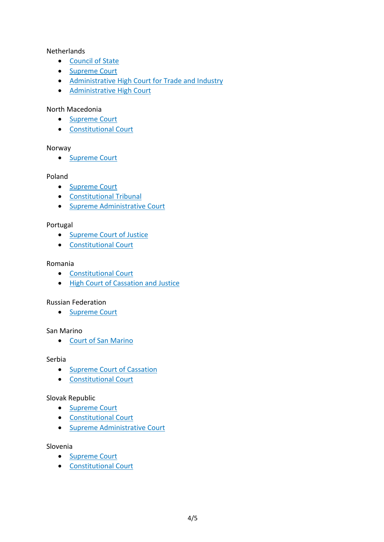## **Netherlands**

- [Council](https://www.raadvanstate.nl/talen/artikel/) of State
- [Supreme](https://www.rechtspraak.nl/Organisatie-en-contact/Organisatie/Hoge-Raad-der-Nederlanden/Supreme-court-of-the-Netherlands) Court
- [Administrative](https://www.rechtspraak.nl/English) High Court for Trade and Industry
- **•** [Administrative](https://www.rechtspraak.nl/Organisatie-en-contact/Organisatie/Centrale-Raad-van-beroep) High Court

## North Macedonia

- [Supreme](http://www.vsrm.mk/wps/portal/vsrm/sud/!ut/p/z1/04_Sj9CPykssy0xPLMnMz0vMAfIjo8zizdxNTAwsvA18LIKDnAwcXQ3MLUIsHQ3c3Qz0wwkpiAJKG-AAjiD9UYSUFORGGKQ7KioCAPtT4qw!/dz/d5/L0lDUmlTUSEhL3dHa0FKRnNBLzROV3FpQSEhL2Vu/) Court
- [Constitutional](http://ustavensud.mk/?page_id=5267&lang=en) Court

### Norway

• [Supreme](https://www.domstol.no/en/the-courts-of-justice/The-ordinary-courts-of-Norway/The-Supreme-Court/) Court

### Poland

- [Supreme](http://www.sn.pl/en/SitePages/Main.aspx) Court
- [Constitutional](http://trybunal.gov.pl/en/about-the-tribunal/legal-basis/the-constitution-of-the-republic-of-poland/) Tribunal
- Supreme [Administrative](http://www.nsa.gov.pl/en.php) Court

## Portugal

- **•** [Supreme](http://www.stj.pt/) Court of Justice
- [Constitutional](http://www.tribunalconstitucional.pt/tc/en/home.html) Court

#### Romania

- **•** [Constitutional](https://www.ccr.ro/en) Court
- **High Court of [Cassation](http://www.scj.ro/en) and Justice**

### Russian Federation

• [Supreme](http://www.supcourt.ru/catalog.php?c1=English&c2=About%20the%20Supreme%20Court) Court

### San Marino

Court of San [Marino](http://www.esteri.sm/on-line/home/giustizia/uffici-giudiziari-tribunale-unico.html)

#### Serbia

- Supreme Court of [Cassation](http://www.vk.sud.rs/en)
- [Constitutional](http://www.ustavni.sud.rs/page/home/en-GB) Court

### Slovak Republic

- [Supreme](https://www.nsud.sk/the-supreme-court-of-the-slovak-republic/) Court
- [Constitutional](https://www.ustavnysud.sk/en/o-ustavnom-sude-slovenskej-republiky) Court
- Supreme [Administrative](https://www.nssud.sk/) Court

#### Slovenia

- [Supreme](http://www.sodisce.si/) Court
- [Constitutional](http://www.us-rs.si/en/) Court